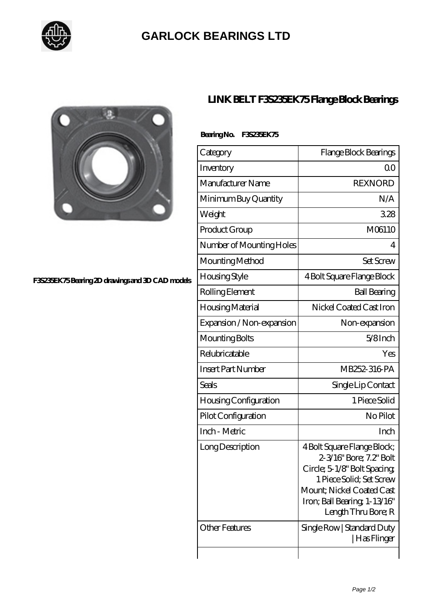

## **[GARLOCK BEARINGS LTD](https://m.letterstopriests.com)**



#### **[F3S235EK75 Bearing 2D drawings and 3D CAD models](https://m.letterstopriests.com/pic-188729.html)**

## **[LINK BELT F3S235EK75 Flange Block Bearings](https://m.letterstopriests.com/by-188729-link-belt-f3s235ek75-flange-block-bearings.html)**

### **Bearing No. F3S235EK75**

| Category                     | Flange Block Bearings                                                                                                                                                                                  |
|------------------------------|--------------------------------------------------------------------------------------------------------------------------------------------------------------------------------------------------------|
| Inventory                    | Q0                                                                                                                                                                                                     |
| Manufacturer Name            | <b>REXNORD</b>                                                                                                                                                                                         |
| Minimum Buy Quantity         | N/A                                                                                                                                                                                                    |
| Weight                       | 328                                                                                                                                                                                                    |
| Product Group                | M06110                                                                                                                                                                                                 |
| Number of Mounting Holes     | 4                                                                                                                                                                                                      |
| Mounting Method              | <b>Set Screw</b>                                                                                                                                                                                       |
| <b>Housing Style</b>         | 4 Bolt Square Flange Block                                                                                                                                                                             |
| Rolling Element              | <b>Ball Bearing</b>                                                                                                                                                                                    |
| Housing Material             | Nickel Coated Cast Iron                                                                                                                                                                                |
| Expansion / Non-expansion    | Non-expansion                                                                                                                                                                                          |
| Mounting Bolts               | $5/8$ Inch                                                                                                                                                                                             |
| Relubricatable               | Yes                                                                                                                                                                                                    |
| <b>Insert Part Number</b>    | MB252-316 PA                                                                                                                                                                                           |
| Seals                        | Single Lip Contact                                                                                                                                                                                     |
| <b>Housing Configuration</b> | 1 Piece Solid                                                                                                                                                                                          |
| Pilot Configuration          | No Pilot                                                                                                                                                                                               |
| Inch - Metric                | Inch                                                                                                                                                                                                   |
| Long Description             | 4 Bolt Square Flange Block;<br>2-3/16" Bore; 7.2" Bolt<br>Circle; 5-1/8" Bolt Spacing;<br>1 Piece Solid; Set Screw<br>Mount; Nickel Coated Cast<br>Iron; Ball Bearing, 1-13/16"<br>Length Thru Bore; R |
| <b>Other Features</b>        | Single Row   Standard Duty<br>  Has Flinger                                                                                                                                                            |
|                              |                                                                                                                                                                                                        |